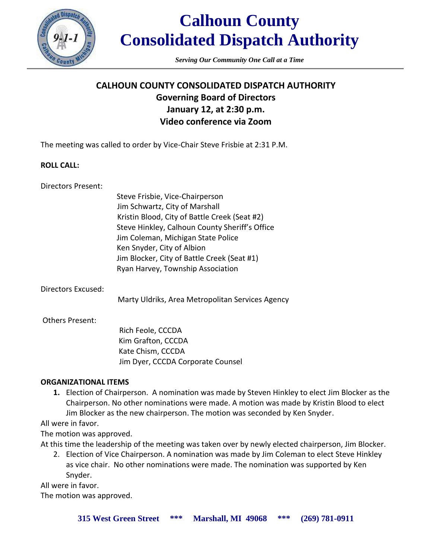

*Serving Our Community One Call at a Time*

# **CALHOUN COUNTY CONSOLIDATED DISPATCH AUTHORITY Governing Board of Directors January 12, at 2:30 p.m. Video conference via Zoom**

The meeting was called to order by Vice-Chair Steve Frisbie at 2:31 P.M.

#### **ROLL CALL:**

Directors Present:

Steve Frisbie, Vice-Chairperson Jim Schwartz, City of Marshall Kristin Blood, City of Battle Creek (Seat #2) Steve Hinkley, Calhoun County Sheriff's Office Jim Coleman, Michigan State Police Ken Snyder, City of Albion Jim Blocker, City of Battle Creek (Seat #1) Ryan Harvey, Township Association

Directors Excused:

Marty Uldriks, Area Metropolitan Services Agency

#### Others Present:

 Rich Feole, CCCDA Kim Grafton, CCCDA Kate Chism, CCCDA Jim Dyer, CCCDA Corporate Counsel

# **ORGANIZATIONAL ITEMS**

**1.** Election of Chairperson. A nomination was made by Steven Hinkley to elect Jim Blocker as the Chairperson. No other nominations were made. A motion was made by Kristin Blood to elect Jim Blocker as the new chairperson. The motion was seconded by Ken Snyder.

# All were in favor.

The motion was approved.

At this time the leadership of the meeting was taken over by newly elected chairperson, Jim Blocker.

2. Election of Vice Chairperson. A nomination was made by Jim Coleman to elect Steve Hinkley as vice chair. No other nominations were made. The nomination was supported by Ken Snyder.

All were in favor.

The motion was approved.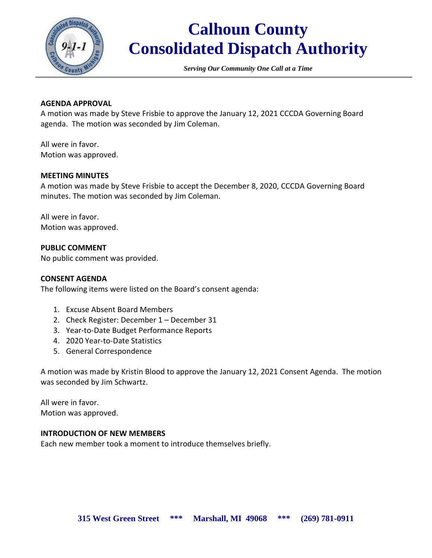

*Serving Our Community One Call at a Time*

#### **AGENDA APPROVAL**

A motion was made by Steve Frisbie to approve the January 12, 2021 CCCDA Governing Board agenda. The motion was seconded by Jim Coleman.

All were in favor. Motion was approved.

#### **MEETING MINUTES**

A motion was made by Steve Frisbie to accept the December 8, 2020, CCCDA Governing Board minutes. The motion was seconded by Jim Coleman.

All were in favor. Motion was approved.

# **PUBLIC COMMENT**

No public comment was provided.

#### **CONSENT AGENDA**

The following items were listed on the Board's consent agenda:

- 1. Excuse Absent Board Members
- 2. Check Register: December 1 December 31
- 3. Year-to-Date Budget Performance Reports
- 4. 2020 Year-to-Date Statistics
- 5. General Correspondence

A motion was made by Kristin Blood to approve the January 12, 2021 Consent Agenda. The motion was seconded by Jim Schwartz.

All were in favor. Motion was approved.

#### **INTRODUCTION OF NEW MEMBERS**

Each new member took a moment to introduce themselves briefly.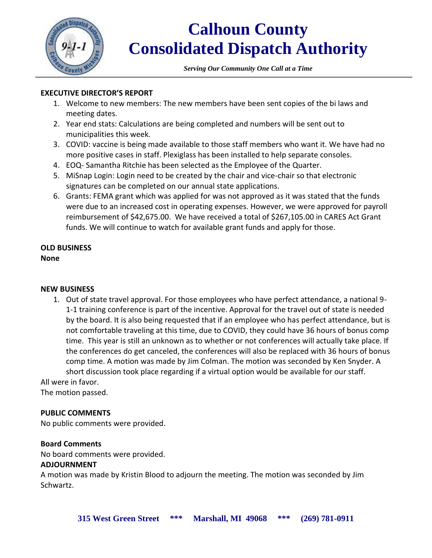

*Serving Our Community One Call at a Time*

# **EXECUTIVE DIRECTOR'S REPORT**

- 1. Welcome to new members: The new members have been sent copies of the bi laws and meeting dates.
- 2. Year end stats: Calculations are being completed and numbers will be sent out to municipalities this week.
- 3. COVID: vaccine is being made available to those staff members who want it. We have had no more positive cases in staff. Plexiglass has been installed to help separate consoles.
- 4. EOQ- Samantha Ritchie has been selected as the Employee of the Quarter.
- 5. MiSnap Login: Login need to be created by the chair and vice-chair so that electronic signatures can be completed on our annual state applications.
- 6. Grants: FEMA grant which was applied for was not approved as it was stated that the funds were due to an increased cost in operating expenses. However, we were approved for payroll reimbursement of \$42,675.00. We have received a total of \$267,105.00 in CARES Act Grant funds. We will continue to watch for available grant funds and apply for those.

#### **OLD BUSINESS None**

# **NEW BUSINESS**

1. Out of state travel approval. For those employees who have perfect attendance, a national 9- 1-1 training conference is part of the incentive. Approval for the travel out of state is needed by the board. It is also being requested that if an employee who has perfect attendance, but is not comfortable traveling at this time, due to COVID, they could have 36 hours of bonus comp time. This year is still an unknown as to whether or not conferences will actually take place. If the conferences do get canceled, the conferences will also be replaced with 36 hours of bonus comp time. A motion was made by Jim Colman. The motion was seconded by Ken Snyder. A short discussion took place regarding if a virtual option would be available for our staff.

All were in favor.

The motion passed.

# **PUBLIC COMMENTS**

No public comments were provided.

# **Board Comments**

No board comments were provided.

# **ADJOURNMENT**

A motion was made by Kristin Blood to adjourn the meeting. The motion was seconded by Jim Schwartz.